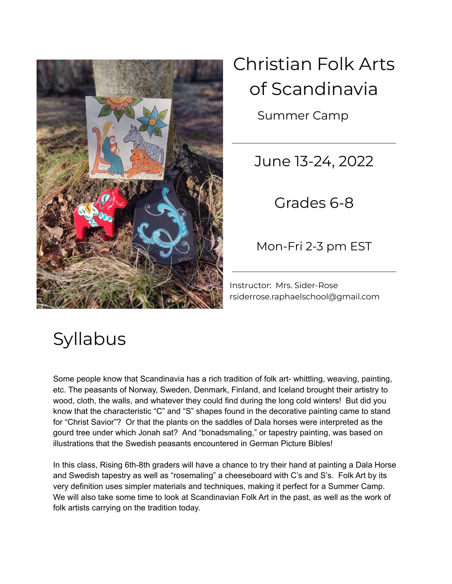

## Christian Folk Arts of Scandinavia

Summer Camp

June 13-24, 2022

Grades 6-8

Mon-Fri 2-3 pm EST

Instructor: Mrs. Sider-Rose rsiderrose.raphaelschool@gmail.com

## Syllabus

Some people know that Scandinavia has a rich tradition of folk art- whittling, weaving, painting, etc. The peasants of Norway, Sweden, Denmark, Finland, and Iceland brought their artistry to wood, cloth, the walls, and whatever they could find during the long cold winters! But did you know that the characteristic "C" and "S" shapes found in the decorative painting came to stand for "Christ Savior"? Or that the plants on the saddles of Dala horses were interpreted as the gourd tree under which Jonah sat? And "bonadsmaling," or tapestry painting, was based on illustrations that the Swedish peasants encountered in German Picture Bibles!

In this class, Rising 6th-8th graders will have a chance to try their hand at painting a Dala Horse and Swedish tapestry as well as "rosemaling" a cheeseboard with C's and S's. Folk Art by its very definition uses simpler materials and techniques, making it perfect for a Summer Camp. We will also take some time to look at Scandinavian Folk Art in the past, as well as the work of folk artists carrying on the tradition today.